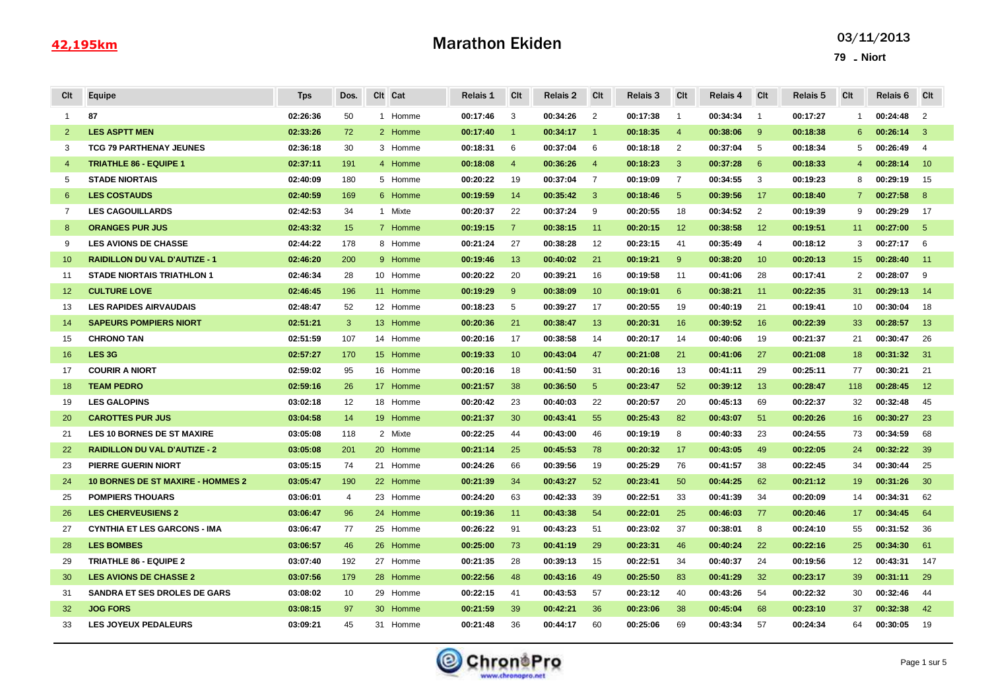# Marathon Ekiden

| Cit            | Equipe                                   | <b>Tps</b> | Dos.           |   | Clt Cat  | Relais 1 | Clt            | <b>Relais 2</b> | Clt            | Relais 3 | Clt             | Relais 4 | Clt            | Relais 5 | Clt            | Relais 6 | <b>CIt</b>     |
|----------------|------------------------------------------|------------|----------------|---|----------|----------|----------------|-----------------|----------------|----------|-----------------|----------|----------------|----------|----------------|----------|----------------|
| $\overline{1}$ | 87                                       | 02:26:36   | 50             |   | 1 Homme  | 00:17:46 | 3              | 00:34:26        | 2              | 00:17:38 | $\mathbf{1}$    | 00:34:34 | $\overline{1}$ | 00:17:27 | $\mathbf{1}$   | 00:24:48 | 2              |
| 2              | <b>LES ASPTT MEN</b>                     | 02:33:26   | 72             |   | 2 Homme  | 00:17:40 | $\overline{1}$ | 00:34:17        | $\overline{1}$ | 00:18:35 | $\overline{4}$  | 00:38:06 | -9             | 00:18:38 | 6              | 00:26:14 | 3              |
| 3              | <b>TCG 79 PARTHENAY JEUNES</b>           | 02:36:18   | 30             |   | 3 Homme  | 00:18:31 | 6              | 00:37:04        | 6              | 00:18:18 | $\overline{2}$  | 00:37:04 | -5             | 00:18:34 | 5              | 00:26:49 | $\overline{4}$ |
| $\overline{4}$ | <b>TRIATHLE 86 - EQUIPE 1</b>            | 02:37:11   | 191            |   | 4 Homme  | 00:18:08 | $\overline{4}$ | 00:36:26        | $\overline{4}$ | 00:18:23 | 3               | 00:37:28 | 6              | 00:18:33 | $\overline{4}$ | 00:28:14 | 10             |
| 5              | <b>STADE NIORTAIS</b>                    | 02:40:09   | 180            |   | 5 Homme  | 00:20:22 | 19             | 00:37:04        | $\overline{7}$ | 00:19:09 | $\overline{7}$  | 00:34:55 | 3              | 00:19:23 | 8              | 00:29:19 | 15             |
| 6              | <b>LES COSTAUDS</b>                      | 02:40:59   | 169            |   | 6 Homme  | 00:19:59 | 14             | 00:35:42        | 3              | 00:18:46 | $5\phantom{.0}$ | 00:39:56 | 17             | 00:18:40 | $\mathbf{7}$   | 00:27:58 | 8              |
| 7              | <b>LES CAGOUILLARDS</b>                  | 02:42:53   | 34             |   | 1 Mixte  | 00:20:37 | 22             | 00:37:24        | 9              | 00:20:55 | 18              | 00:34:52 | 2              | 00:19:39 | 9              | 00:29:29 | 17             |
| 8              | <b>ORANGES PUR JUS</b>                   | 02:43:32   | 15             |   | 7 Homme  | 00:19:15 | $\overline{7}$ | 00:38:15        | 11             | 00:20:15 | 12              | 00:38:58 | 12             | 00:19:51 | 11             | 00:27:00 | -5             |
| 9              | <b>LES AVIONS DE CHASSE</b>              | 02:44:22   | 178            | 8 | Homme    | 00:21:24 | 27             | 00:38:28        | 12             | 00:23:15 | 41              | 00:35:49 | $\overline{4}$ | 00:18:12 | 3              | 00:27:17 | 6              |
| 10             | <b>RAIDILLON DU VAL D'AUTIZE - 1</b>     | 02:46:20   | 200            |   | 9 Homme  | 00:19:46 | 13             | 00:40:02        | 21             | 00:19:21 | 9               | 00:38:20 | 10             | 00:20:13 | 15             | 00:28:40 | 11             |
| 11             | <b>STADE NIORTAIS TRIATHLON 1</b>        | 02:46:34   | 28             |   | 10 Homme | 00:20:22 | 20             | 00:39:21        | 16             | 00:19:58 | 11              | 00:41:06 | 28             | 00:17:41 | 2              | 00:28:07 | 9              |
| 12             | <b>CULTURE LOVE</b>                      | 02:46:45   | 196            |   | 11 Homme | 00:19:29 | 9              | 00:38:09        | 10             | 00:19:01 | 6               | 00:38:21 | 11             | 00:22:35 | 31             | 00:29:13 | 14             |
| 13             | <b>LES RAPIDES AIRVAUDAIS</b>            | 02:48:47   | 52             |   | 12 Homme | 00:18:23 | 5              | 00:39:27        | 17             | 00:20:55 | 19              | 00:40:19 | 21             | 00:19:41 | 10             | 00:30:04 | 18             |
| 14             | <b>SAPEURS POMPIERS NIORT</b>            | 02:51:21   | 3              |   | 13 Homme | 00:20:36 | 21             | 00:38:47        | 13             | 00:20:31 | 16              | 00:39:52 | 16             | 00:22:39 | 33             | 00:28:57 | 13             |
| 15             | <b>CHRONO TAN</b>                        | 02:51:59   | 107            |   | 14 Homme | 00:20:16 | 17             | 00:38:58        | 14             | 00:20:17 | 14              | 00:40:06 | 19             | 00:21:37 | 21             | 00:30:47 | 26             |
| 16             | LES <sub>3G</sub>                        | 02:57:27   | 170            |   | 15 Homme | 00:19:33 | 10             | 00:43:04        | 47             | 00:21:08 | 21              | 00:41:06 | 27             | 00:21:08 | 18             | 00:31:32 | 31             |
| 17             | <b>COURIR A NIORT</b>                    | 02:59:02   | 95             |   | 16 Homme | 00:20:16 | 18             | 00:41:50        | 31             | 00:20:16 | 13              | 00:41:11 | 29             | 00:25:11 | 77             | 00:30:21 | 21             |
| 18             | <b>TEAM PEDRO</b>                        | 02:59:16   | 26             |   | 17 Homme | 00:21:57 | 38             | 00:36:50        | 5              | 00:23:47 | 52              | 00:39:12 | 13             | 00:28:47 | 118            | 00:28:45 | 12             |
| 19             | <b>LES GALOPINS</b>                      | 03:02:18   | 12             |   | 18 Homme | 00:20:42 | 23             | 00:40:03        | 22             | 00:20:57 | 20              | 00:45:13 | 69             | 00:22:37 | 32             | 00:32:48 | 45             |
| 20             | <b>CAROTTES PUR JUS</b>                  | 03:04:58   | 14             |   | 19 Homme | 00:21:37 | 30             | 00:43:41        | 55             | 00:25:43 | 82              | 00:43:07 | 51             | 00:20:26 | 16             | 00:30:27 | 23             |
| 21             | <b>LES 10 BORNES DE ST MAXIRE</b>        | 03:05:08   | 118            |   | 2 Mixte  | 00:22:25 | 44             | 00:43:00        | 46             | 00:19:19 | 8               | 00:40:33 | 23             | 00:24:55 | 73             | 00:34:59 | 68             |
| 22             | <b>RAIDILLON DU VAL D'AUTIZE - 2</b>     | 03:05:08   | 201            |   | 20 Homme | 00:21:14 | 25             | 00:45:53        | 78             | 00:20:32 | 17              | 00:43:05 | 49             | 00:22:05 | 24             | 00:32:22 | 39             |
| 23             | <b>PIERRE GUERIN NIORT</b>               | 03:05:15   | 74             |   | 21 Homme | 00:24:26 | 66             | 00:39:56        | 19             | 00:25:29 | 76              | 00:41:57 | 38             | 00:22:45 | 34             | 00:30:44 | 25             |
| 24             | <b>10 BORNES DE ST MAXIRE - HOMMES 2</b> | 03:05:47   | 190            |   | 22 Homme | 00:21:39 | 34             | 00:43:27        | 52             | 00:23:41 | 50              | 00:44:25 | 62             | 00:21:12 | 19             | 00:31:26 | 30             |
| 25             | <b>POMPIERS THOUARS</b>                  | 03:06:01   | $\overline{4}$ |   | 23 Homme | 00:24:20 | 63             | 00:42:33        | 39             | 00:22:51 | 33              | 00:41:39 | 34             | 00:20:09 | 14             | 00:34:31 | 62             |
| 26             | <b>LES CHERVEUSIENS 2</b>                | 03:06:47   | 96             |   | 24 Homme | 00:19:36 | 11             | 00:43:38        | 54             | 00:22:01 | 25              | 00:46:03 | 77             | 00:20:46 | 17             | 00:34:45 | 64             |
| 27             | <b>CYNTHIA ET LES GARCONS - IMA</b>      | 03:06:47   | 77             |   | 25 Homme | 00:26:22 | 91             | 00:43:23        | 51             | 00:23:02 | 37              | 00:38:01 | 8              | 00:24:10 | 55             | 00:31:52 | 36             |
| 28             | <b>LES BOMBES</b>                        | 03:06:57   | 46             |   | 26 Homme | 00:25:00 | 73             | 00:41:19        | 29             | 00:23:31 | 46              | 00:40:24 | 22             | 00:22:16 | 25             | 00:34:30 | 61             |
| 29             | <b>TRIATHLE 86 - EQUIPE 2</b>            | 03:07:40   | 192            |   | 27 Homme | 00:21:35 | 28             | 00:39:13        | 15             | 00:22:51 | 34              | 00:40:37 | 24             | 00:19:56 | 12             | 00:43:31 | 147            |
| 30             | <b>LES AVIONS DE CHASSE 2</b>            | 03:07:56   | 179            |   | 28 Homme | 00:22:56 | 48             | 00:43:16        | 49             | 00:25:50 | 83              | 00:41:29 | 32             | 00:23:17 | 39             | 00:31:11 | 29             |
| 31             | <b>SANDRA ET SES DROLES DE GARS</b>      | 03:08:02   | 10             |   | 29 Homme | 00:22:15 | 41             | 00:43:53        | 57             | 00:23:12 | 40              | 00:43:26 | 54             | 00:22:32 | 30             | 00:32:46 | 44             |
| 32             | <b>JOG FORS</b>                          | 03:08:15   | 97             |   | 30 Homme | 00:21:59 | 39             | 00:42:21        | 36             | 00:23:06 | 38              | 00:45:04 | 68             | 00:23:10 | 37             | 00:32:38 | 42             |
| 33             | <b>LES JOYEUX PEDALEURS</b>              | 03:09:21   | 45             |   | 31 Homme | 00:21:48 | 36             | 00:44:17        | 60             | 00:25:06 | 69              | 00:43:34 | 57             | 00:24:34 | 64             | 00:30:05 | 19             |

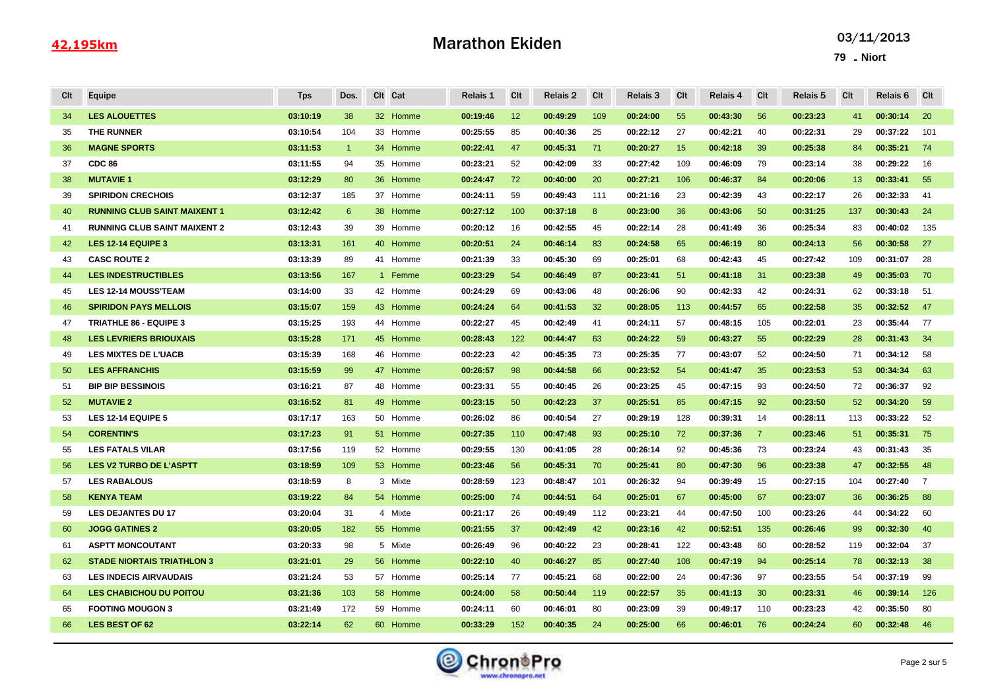# Marathon Ekiden

| Cit | Equipe                              | <b>Tps</b> | Dos.           |    | Clt Cat  | Relais 1 | Clt | Relais 2 | Clt | Relais 3 | Clt | Relais 4 | Clt            | Relais 5 | Clt | Relais 6 | Clt            |
|-----|-------------------------------------|------------|----------------|----|----------|----------|-----|----------|-----|----------|-----|----------|----------------|----------|-----|----------|----------------|
| 34  | <b>LES ALOUETTES</b>                | 03:10:19   | 38             |    | 32 Homme | 00:19:46 | 12  | 00:49:29 | 109 | 00:24:00 | 55  | 00:43:30 | 56             | 00:23:23 | 41  | 00:30:14 | 20             |
| 35  | THE RUNNER                          | 03:10:54   | 104            |    | 33 Homme | 00:25:55 | 85  | 00:40:36 | 25  | 00:22:12 | 27  | 00:42:21 | 40             | 00:22:31 | 29  | 00:37:22 | 101            |
| 36  | <b>MAGNE SPORTS</b>                 | 03:11:53   | $\overline{1}$ |    | 34 Homme | 00:22:41 | 47  | 00:45:31 | 71  | 00:20:27 | 15  | 00:42:18 | 39             | 00:25:38 | 84  | 00:35:21 | 74             |
| 37  | <b>CDC 86</b>                       | 03:11:55   | 94             |    | 35 Homme | 00:23:21 | 52  | 00:42:09 | 33  | 00:27:42 | 109 | 00:46:09 | 79             | 00:23:14 | 38  | 00:29:22 | 16             |
| 38  | <b>MUTAVIE 1</b>                    | 03:12:29   | 80             |    | 36 Homme | 00:24:47 | 72  | 00:40:00 | 20  | 00:27:21 | 106 | 00:46:37 | 84             | 00:20:06 | 13  | 00:33:41 | 55             |
| 39  | <b>SPIRIDON CRECHOIS</b>            | 03:12:37   | 185            |    | 37 Homme | 00:24:11 | 59  | 00:49:43 | 111 | 00:21:16 | 23  | 00:42:39 | 43             | 00:22:17 | 26  | 00:32:33 | -41            |
| 40  | <b>RUNNING CLUB SAINT MAIXENT 1</b> | 03:12:42   | 6              |    | 38 Homme | 00:27:12 | 100 | 00:37:18 | 8   | 00:23:00 | 36  | 00:43:06 | 50             | 00:31:25 | 137 | 00:30:43 | 24             |
| 41  | <b>RUNNING CLUB SAINT MAIXENT 2</b> | 03:12:43   | 39             |    | 39 Homme | 00:20:12 | 16  | 00:42:55 | 45  | 00:22:14 | 28  | 00:41:49 | 36             | 00:25:34 | 83  | 00:40:02 | 135            |
| 42  | LES 12-14 EQUIPE 3                  | 03:13:31   | 161            |    | 40 Homme | 00:20:51 | 24  | 00:46:14 | 83  | 00:24:58 | 65  | 00:46:19 | 80             | 00:24:13 | 56  | 00:30:58 | 27             |
| 43  | <b>CASC ROUTE 2</b>                 | 03:13:39   | 89             |    | 41 Homme | 00:21:39 | 33  | 00:45:30 | 69  | 00:25:01 | 68  | 00:42:43 | 45             | 00:27:42 | 109 | 00:31:07 | 28             |
| 44  | <b>LES INDESTRUCTIBLES</b>          | 03:13:56   | 167            |    | 1 Femme  | 00:23:29 | 54  | 00:46:49 | 87  | 00:23:41 | 51  | 00:41:18 | 31             | 00:23:38 | 49  | 00:35:03 | 70             |
| 45  | <b>LES 12-14 MOUSS'TEAM</b>         | 03:14:00   | 33             |    | 42 Homme | 00:24:29 | 69  | 00:43:06 | 48  | 00:26:06 | 90  | 00:42:33 | 42             | 00:24:31 | 62  | 00:33:18 | -51            |
| 46  | <b>SPIRIDON PAYS MELLOIS</b>        | 03:15:07   | 159            |    | 43 Homme | 00:24:24 | 64  | 00:41:53 | 32  | 00:28:05 | 113 | 00:44:57 | 65             | 00:22:58 | 35  | 00:32:52 | 47             |
| 47  | <b>TRIATHLE 86 - EQUIPE 3</b>       | 03:15:25   | 193            |    | 44 Homme | 00:22:27 | 45  | 00:42:49 | 41  | 00:24:11 | 57  | 00:48:15 | 105            | 00:22:01 | 23  | 00:35:44 | 77             |
| 48  | <b>LES LEVRIERS BRIOUXAIS</b>       | 03:15:28   | 171            |    | 45 Homme | 00:28:43 | 122 | 00:44:47 | 63  | 00:24:22 | 59  | 00:43:27 | 55             | 00:22:29 | 28  | 00:31:43 | -34            |
| 49  | <b>LES MIXTES DE L'UACB</b>         | 03:15:39   | 168            |    | 46 Homme | 00:22:23 | 42  | 00:45:35 | 73  | 00:25:35 | 77  | 00:43:07 | 52             | 00:24:50 | 71  | 00:34:12 | 58             |
| 50  | <b>LES AFFRANCHIS</b>               | 03:15:59   | 99             |    | 47 Homme | 00:26:57 | 98  | 00:44:58 | 66  | 00:23:52 | 54  | 00:41:47 | 35             | 00:23:53 | 53  | 00:34:34 | 63             |
| 51  | <b>BIP BIP BESSINOIS</b>            | 03:16:21   | 87             |    | 48 Homme | 00:23:31 | 55  | 00:40:45 | 26  | 00:23:25 | 45  | 00:47:15 | 93             | 00:24:50 | 72  | 00:36:37 | 92             |
| 52  | <b>MUTAVIE 2</b>                    | 03:16:52   | 81             |    | 49 Homme | 00:23:15 | 50  | 00:42:23 | 37  | 00:25:51 | 85  | 00:47:15 | 92             | 00:23:50 | 52  | 00:34:20 | 59             |
| 53  | LES 12-14 EQUIPE 5                  | 03:17:17   | 163            |    | 50 Homme | 00:26:02 | 86  | 00:40:54 | 27  | 00:29:19 | 128 | 00:39:31 | 14             | 00:28:11 | 113 | 00:33:22 | 52             |
| 54  | <b>CORENTIN'S</b>                   | 03:17:23   | 91             |    | 51 Homme | 00:27:35 | 110 | 00:47:48 | 93  | 00:25:10 | 72  | 00:37:36 | $\overline{7}$ | 00:23:46 | 51  | 00:35:31 | 75             |
| 55  | <b>LES FATALS VILAR</b>             | 03:17:56   | 119            |    | 52 Homme | 00:29:55 | 130 | 00:41:05 | 28  | 00:26:14 | 92  | 00:45:36 | 73             | 00:23:24 | 43  | 00:31:43 | 35             |
| 56  | <b>LES V2 TURBO DE L'ASPTT</b>      | 03:18:59   | 109            |    | 53 Homme | 00:23:46 | 56  | 00:45:31 | 70  | 00:25:41 | 80  | 00:47:30 | 96             | 00:23:38 | 47  | 00:32:55 | 48             |
| 57  | <b>LES RABALOUS</b>                 | 03:18:59   | 8              |    | 3 Mixte  | 00:28:59 | 123 | 00:48:47 | 101 | 00:26:32 | 94  | 00:39:49 | 15             | 00:27:15 | 104 | 00:27:40 | $\overline{7}$ |
| 58  | <b>KENYA TEAM</b>                   | 03:19:22   | 84             | 54 | Homme    | 00:25:00 | 74  | 00:44:51 | 64  | 00:25:01 | 67  | 00:45:00 | 67             | 00:23:07 | 36  | 00:36:25 | 88             |
| 59  | <b>LES DEJANTES DU 17</b>           | 03:20:04   | 31             |    | 4 Mixte  | 00:21:17 | 26  | 00:49:49 | 112 | 00:23:21 | 44  | 00:47:50 | 100            | 00:23:26 | 44  | 00:34:22 | 60             |
| 60  | <b>JOGG GATINES 2</b>               | 03:20:05   | 182            |    | 55 Homme | 00:21:55 | 37  | 00:42:49 | 42  | 00:23:16 | 42  | 00:52:51 | 135            | 00:26:46 | 99  | 00:32:30 | 40             |
| 61  | <b>ASPTT MONCOUTANT</b>             | 03:20:33   | 98             |    | 5 Mixte  | 00:26:49 | 96  | 00:40:22 | 23  | 00:28:41 | 122 | 00:43:48 | 60             | 00:28:52 | 119 | 00:32:04 | 37             |
| 62  | <b>STADE NIORTAIS TRIATHLON 3</b>   | 03:21:01   | 29             | 56 | Homme    | 00:22:10 | 40  | 00:46:27 | 85  | 00:27:40 | 108 | 00:47:19 | 94             | 00:25:14 | 78  | 00:32:13 | 38             |
| 63  | <b>LES INDECIS AIRVAUDAIS</b>       | 03:21:24   | 53             |    | 57 Homme | 00:25:14 | 77  | 00:45:21 | 68  | 00:22:00 | 24  | 00:47:36 | 97             | 00:23:55 | 54  | 00:37:19 | 99             |
| 64  | <b>LES CHABICHOU DU POITOU</b>      | 03:21:36   | 103            |    | 58 Homme | 00:24:00 | 58  | 00:50:44 | 119 | 00:22:57 | 35  | 00:41:13 | 30             | 00:23:31 | 46  | 00:39:14 | 126            |
| 65  | <b>FOOTING MOUGON 3</b>             | 03:21:49   | 172            |    | 59 Homme | 00:24:11 | 60  | 00:46:01 | 80  | 00:23:09 | 39  | 00:49:17 | 110            | 00:23:23 | 42  | 00:35:50 | 80             |
| 66  | <b>LES BEST OF 62</b>               | 03:22:14   | 62             |    | 60 Homme | 00:33:29 | 152 | 00:40:35 | 24  | 00:25:00 | 66  | 00:46:01 | 76             | 00:24:24 | 60  | 00:32:48 | 46             |
|     |                                     |            |                |    |          |          |     |          |     |          |     |          |                |          |     |          |                |

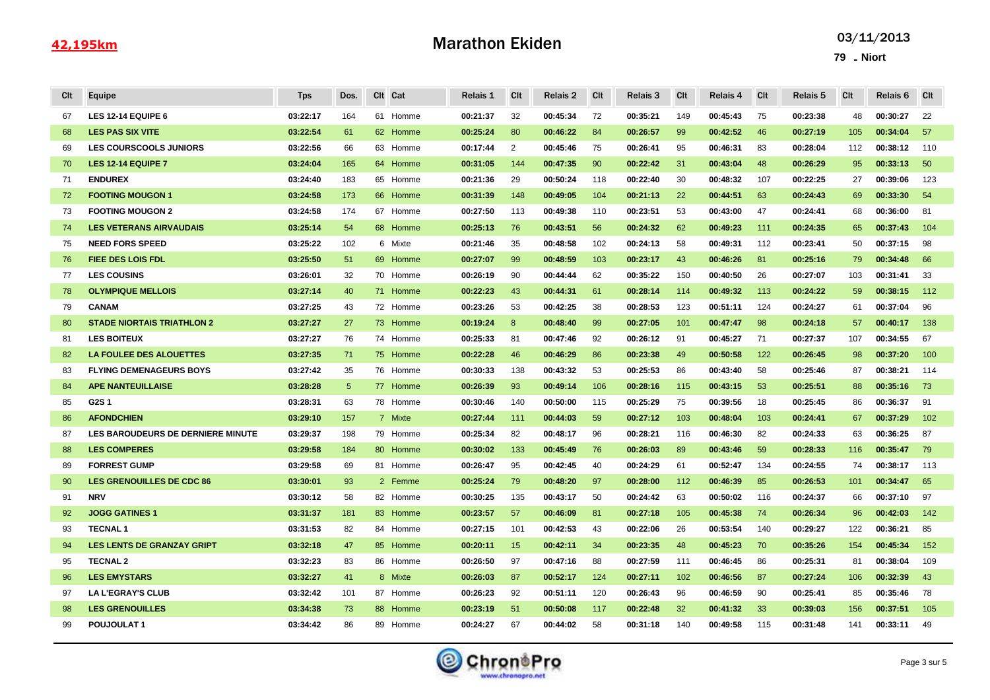# Marathon Ekiden

| Cit | Equipe                                   | <b>Tps</b> | Dos. |    | CIt Cat  | Relais 1 | Clt | Relais 2 | Clt | <b>Relais 3</b> | Clt | Relais 4 | Clt | Relais 5 | <b>CIt</b> | Relais 6 | Clt |
|-----|------------------------------------------|------------|------|----|----------|----------|-----|----------|-----|-----------------|-----|----------|-----|----------|------------|----------|-----|
| 67  | <b>LES 12-14 EQUIPE 6</b>                | 03:22:17   | 164  |    | 61 Homme | 00:21:37 | 32  | 00:45:34 | 72  | 00:35:21        | 149 | 00:45:43 | 75  | 00:23:38 | 48         | 00:30:27 | 22  |
| 68  | <b>LES PAS SIX VITE</b>                  | 03:22:54   | 61   |    | 62 Homme | 00:25:24 | 80  | 00:46:22 | 84  | 00:26:57        | 99  | 00:42:52 | 46  | 00:27:19 | 105        | 00:34:04 | 57  |
| 69  | <b>LES COURSCOOLS JUNIORS</b>            | 03:22:56   | 66   |    | 63 Homme | 00:17:44 | 2   | 00:45:46 | 75  | 00:26:41        | 95  | 00:46:31 | 83  | 00:28:04 | 112        | 00:38:12 | 110 |
| 70  | <b>LES 12-14 EQUIPE 7</b>                | 03:24:04   | 165  |    | 64 Homme | 00:31:05 | 144 | 00:47:35 | 90  | 00:22:42        | 31  | 00:43:04 | 48  | 00:26:29 | 95         | 00:33:13 | 50  |
| 71  | <b>ENDUREX</b>                           | 03:24:40   | 183  |    | 65 Homme | 00:21:36 | 29  | 00:50:24 | 118 | 00:22:40        | 30  | 00:48:32 | 107 | 00:22:25 | 27         | 00:39:06 | 123 |
| 72  | <b>FOOTING MOUGON 1</b>                  | 03:24:58   | 173  |    | 66 Homme | 00:31:39 | 148 | 00:49:05 | 104 | 00:21:13        | 22  | 00:44:51 | 63  | 00:24:43 | 69         | 00:33:30 | 54  |
| 73  | <b>FOOTING MOUGON 2</b>                  | 03:24:58   | 174  |    | 67 Homme | 00:27:50 | 113 | 00:49:38 | 110 | 00:23:51        | 53  | 00:43:00 | 47  | 00:24:41 | 68         | 00:36:00 | 81  |
| 74  | <b>LES VETERANS AIRVAUDAIS</b>           | 03:25:14   | 54   |    | 68 Homme | 00:25:13 | 76  | 00:43:51 | 56  | 00:24:32        | 62  | 00:49:23 | 111 | 00:24:35 | 65         | 00:37:43 | 104 |
| 75  | <b>NEED FORS SPEED</b>                   | 03:25:22   | 102  |    | 6 Mixte  | 00:21:46 | 35  | 00:48:58 | 102 | 00:24:13        | 58  | 00:49:31 | 112 | 00:23:41 | 50         | 00:37:15 | 98  |
| 76  | <b>FIEE DES LOIS FDL</b>                 | 03:25:50   | 51   | 69 | Homme    | 00:27:07 | 99  | 00:48:59 | 103 | 00:23:17        | 43  | 00:46:26 | 81  | 00:25:16 | 79         | 00:34:48 | 66  |
| 77  | <b>LES COUSINS</b>                       | 03:26:01   | 32   |    | 70 Homme | 00:26:19 | 90  | 00:44:44 | 62  | 00:35:22        | 150 | 00:40:50 | 26  | 00:27:07 | 103        | 00:31:41 | 33  |
| 78  | <b>OLYMPIQUE MELLOIS</b>                 | 03:27:14   | 40   |    | 71 Homme | 00:22:23 | 43  | 00:44:31 | 61  | 00:28:14        | 114 | 00:49:32 | 113 | 00:24:22 | 59         | 00:38:15 | 112 |
| 79  | <b>CANAM</b>                             | 03:27:25   | 43   |    | 72 Homme | 00:23:26 | 53  | 00:42:25 | 38  | 00:28:53        | 123 | 00:51:11 | 124 | 00:24:27 | 61         | 00:37:04 | 96  |
| 80  | <b>STADE NIORTAIS TRIATHLON 2</b>        | 03:27:27   | 27   |    | 73 Homme | 00:19:24 | 8   | 00:48:40 | 99  | 00:27:05        | 101 | 00:47:47 | 98  | 00:24:18 | 57         | 00:40:17 | 138 |
| 81  | <b>LES BOITEUX</b>                       | 03:27:27   | 76   | 74 | Homme    | 00:25:33 | 81  | 00:47:46 | 92  | 00:26:12        | 91  | 00:45:27 | 71  | 00:27:37 | 107        | 00:34:55 | 67  |
| 82  | <b>LA FOULEE DES ALOUETTES</b>           | 03:27:35   | 71   |    | 75 Homme | 00:22:28 | 46  | 00:46:29 | 86  | 00:23:38        | 49  | 00:50:58 | 122 | 00:26:45 | 98         | 00:37:20 | 100 |
| 83  | <b>FLYING DEMENAGEURS BOYS</b>           | 03:27:42   | 35   |    | 76 Homme | 00:30:33 | 138 | 00:43:32 | 53  | 00:25:53        | 86  | 00:43:40 | 58  | 00:25:46 | 87         | 00:38:21 | 114 |
| 84  | <b>APE NANTEUILLAISE</b>                 | 03:28:28   | 5    |    | 77 Homme | 00:26:39 | 93  | 00:49:14 | 106 | 00:28:16        | 115 | 00:43:15 | 53  | 00:25:51 | 88         | 00:35:16 | 73  |
| 85  | G2S1                                     | 03:28:31   | 63   |    | 78 Homme | 00:30:46 | 140 | 00:50:00 | 115 | 00:25:29        | 75  | 00:39:56 | 18  | 00:25:45 | 86         | 00:36:37 | 91  |
| 86  | <b>AFONDCHIEN</b>                        | 03:29:10   | 157  |    | 7 Mixte  | 00:27:44 | 111 | 00:44:03 | 59  | 00:27:12        | 103 | 00:48:04 | 103 | 00:24:41 | 67         | 00:37:29 | 102 |
| 87  | <b>LES BAROUDEURS DE DERNIERE MINUTE</b> | 03:29:37   | 198  |    | 79 Homme | 00:25:34 | 82  | 00:48:17 | 96  | 00:28:21        | 116 | 00:46:30 | 82  | 00:24:33 | 63         | 00:36:25 | 87  |
| 88  | <b>LES COMPERES</b>                      | 03:29:58   | 184  | 80 | Homme    | 00:30:02 | 133 | 00:45:49 | 76  | 00:26:03        | 89  | 00:43:46 | 59  | 00:28:33 | 116        | 00:35:47 | 79  |
| 89  | <b>FORREST GUMP</b>                      | 03:29:58   | 69   |    | 81 Homme | 00:26:47 | 95  | 00:42:45 | 40  | 00:24:29        | 61  | 00:52:47 | 134 | 00:24:55 | 74         | 00:38:17 | 113 |
| 90  | <b>LES GRENOUILLES DE CDC 86</b>         | 03:30:01   | 93   |    | 2 Femme  | 00:25:24 | 79  | 00:48:20 | 97  | 00:28:00        | 112 | 00:46:39 | 85  | 00:26:53 | 101        | 00:34:47 | 65  |
| 91  | <b>NRV</b>                               | 03:30:12   | 58   |    | 82 Homme | 00:30:25 | 135 | 00:43:17 | 50  | 00:24:42        | 63  | 00:50:02 | 116 | 00:24:37 | 66         | 00:37:10 | 97  |
| 92  | <b>JOGG GATINES 1</b>                    | 03:31:37   | 181  |    | 83 Homme | 00:23:57 | 57  | 00:46:09 | 81  | 00:27:18        | 105 | 00:45:38 | 74  | 00:26:34 | 96         | 00:42:03 | 142 |
| 93  | <b>TECNAL1</b>                           | 03:31:53   | 82   |    | 84 Homme | 00:27:15 | 101 | 00:42:53 | 43  | 00:22:06        | 26  | 00:53:54 | 140 | 00:29:27 | 122        | 00:36:21 | 85  |
| 94  | <b>LES LENTS DE GRANZAY GRIPT</b>        | 03:32:18   | 47   | 85 | Homme    | 00:20:11 | 15  | 00:42:11 | 34  | 00:23:35        | 48  | 00:45:23 | 70  | 00:35:26 | 154        | 00:45:34 | 152 |
| 95  | <b>TECNAL 2</b>                          | 03:32:23   | 83   |    | 86 Homme | 00:26:50 | 97  | 00:47:16 | 88  | 00:27:59        | 111 | 00:46:45 | 86  | 00:25:31 | 81         | 00:38:04 | 109 |
| 96  | <b>LES EMYSTARS</b>                      | 03:32:27   | 41   |    | 8 Mixte  | 00:26:03 | 87  | 00:52:17 | 124 | 00:27:11        | 102 | 00:46:56 | 87  | 00:27:24 | 106        | 00:32:39 | 43  |
| 97  | <b>LA L'EGRAY'S CLUB</b>                 | 03:32:42   | 101  |    | 87 Homme | 00:26:23 | 92  | 00:51:11 | 120 | 00:26:43        | 96  | 00:46:59 | 90  | 00:25:41 | 85         | 00:35:46 | 78  |
| 98  | <b>LES GRENOUILLES</b>                   | 03:34:38   | 73   |    | 88 Homme | 00:23:19 | 51  | 00:50:08 | 117 | 00:22:48        | 32  | 00:41:32 | 33  | 00:39:03 | 156        | 00:37:51 | 105 |
| 99  | POUJOULAT1                               | 03:34:42   | 86   |    | 89 Homme | 00:24:27 | 67  | 00:44:02 | 58  | 00:31:18        | 140 | 00:49:58 | 115 | 00:31:48 | 141        | 00:33:11 | 49  |

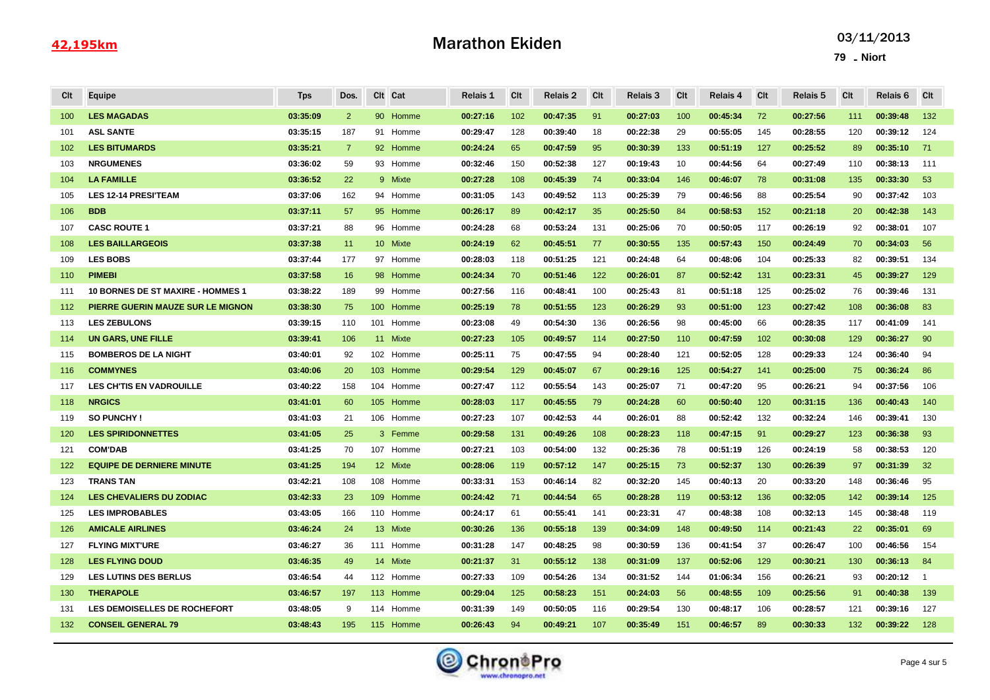# Marathon Ekiden

| Clt | Equipe                                   | <b>Tps</b> | Dos.           |    | Clt Cat   | Relais 1 | Clt | Relais 2 | <b>C</b> lt | <b>Relais 3</b> | Clt | Relais 4 | Cit | Relais 5 | Clt | Relais 6 | <b>CIt</b>     |
|-----|------------------------------------------|------------|----------------|----|-----------|----------|-----|----------|-------------|-----------------|-----|----------|-----|----------|-----|----------|----------------|
| 100 | <b>LES MAGADAS</b>                       | 03:35:09   | $\overline{2}$ |    | 90 Homme  | 00:27:16 | 102 | 00:47:35 | 91          | 00:27:03        | 100 | 00:45:34 | 72  | 00:27:56 | 111 | 00:39:48 | 132            |
| 101 | <b>ASL SANTE</b>                         | 03:35:15   | 187            |    | 91 Homme  | 00:29:47 | 128 | 00:39:40 | 18          | 00:22:38        | 29  | 00:55:05 | 145 | 00:28:55 | 120 | 00:39:12 | 124            |
| 102 | <b>LES BITUMARDS</b>                     | 03:35:21   | $\overline{7}$ |    | 92 Homme  | 00:24:24 | 65  | 00:47:59 | 95          | 00:30:39        | 133 | 00:51:19 | 127 | 00:25:52 | 89  | 00:35:10 | 71             |
| 103 | <b>NRGUMENES</b>                         | 03:36:02   | 59             |    | 93 Homme  | 00:32:46 | 150 | 00:52:38 | 127         | 00:19:43        | 10  | 00:44:56 | 64  | 00:27:49 | 110 | 00:38:13 | 111            |
| 104 | <b>LA FAMILLE</b>                        | 03:36:52   | 22             |    | 9 Mixte   | 00:27:28 | 108 | 00:45:39 | 74          | 00:33:04        | 146 | 00:46:07 | 78  | 00:31:08 | 135 | 00:33:30 | 53             |
| 105 | <b>LES 12-14 PRESITEAM</b>               | 03:37:06   | 162            |    | 94 Homme  | 00:31:05 | 143 | 00:49:52 | 113         | 00:25:39        | 79  | 00:46:56 | 88  | 00:25:54 | 90  | 00:37:42 | 103            |
| 106 | <b>BDB</b>                               | 03:37:11   | 57             |    | 95 Homme  | 00:26:17 | 89  | 00:42:17 | 35          | 00:25:50        | 84  | 00:58:53 | 152 | 00:21:18 | 20  | 00:42:38 | 143            |
| 107 | <b>CASC ROUTE 1</b>                      | 03:37:21   | 88             |    | 96 Homme  | 00:24:28 | 68  | 00:53:24 | 131         | 00:25:06        | 70  | 00:50:05 | 117 | 00:26:19 | 92  | 00:38:01 | 107            |
| 108 | <b>LES BAILLARGEOIS</b>                  | 03:37:38   | 11             |    | 10 Mixte  | 00:24:19 | 62  | 00:45:51 | 77          | 00:30:55        | 135 | 00:57:43 | 150 | 00:24:49 | 70  | 00:34:03 | 56             |
| 109 | <b>LES BOBS</b>                          | 03:37:44   | 177            |    | 97 Homme  | 00:28:03 | 118 | 00:51:25 | 121         | 00:24:48        | 64  | 00:48:06 | 104 | 00:25:33 | 82  | 00:39:51 | 134            |
| 110 | <b>PIMEBI</b>                            | 03:37:58   | 16             | 98 | Homme     | 00:24:34 | 70  | 00:51:46 | 122         | 00:26:01        | 87  | 00:52:42 | 131 | 00:23:31 | 45  | 00:39:27 | 129            |
| 111 | <b>10 BORNES DE ST MAXIRE - HOMMES 1</b> | 03:38:22   | 189            |    | 99 Homme  | 00:27:56 | 116 | 00:48:41 | 100         | 00:25:43        | 81  | 00:51:18 | 125 | 00:25:02 | 76  | 00:39:46 | 131            |
| 112 | PIERRE GUERIN MAUZE SUR LE MIGNON        | 03:38:30   | 75             |    | 100 Homme | 00:25:19 | 78  | 00:51:55 | 123         | 00:26:29        | 93  | 00:51:00 | 123 | 00:27:42 | 108 | 00:36:08 | 83             |
| 113 | <b>LES ZEBULONS</b>                      | 03:39:15   | 110            |    | 101 Homme | 00:23:08 | 49  | 00:54:30 | 136         | 00:26:56        | 98  | 00:45:00 | 66  | 00:28:35 | 117 | 00:41:09 | 141            |
| 114 | <b>UN GARS, UNE FILLE</b>                | 03:39:41   | 106            |    | 11 Mixte  | 00:27:23 | 105 | 00:49:57 | 114         | 00:27:50        | 110 | 00:47:59 | 102 | 00:30:08 | 129 | 00:36:27 | 90             |
| 115 | <b>BOMBEROS DE LA NIGHT</b>              | 03:40:01   | 92             |    | 102 Homme | 00:25:11 | 75  | 00:47:55 | 94          | 00:28:40        | 121 | 00:52:05 | 128 | 00:29:33 | 124 | 00:36:40 | 94             |
| 116 | <b>COMMYNES</b>                          | 03:40:06   | 20             |    | 103 Homme | 00:29:54 | 129 | 00:45:07 | 67          | 00:29:16        | 125 | 00:54:27 | 141 | 00:25:00 | 75  | 00:36:24 | 86             |
| 117 | LES CH'TIS EN VADROUILLE                 | 03:40:22   | 158            |    | 104 Homme | 00:27:47 | 112 | 00:55:54 | 143         | 00:25:07        | 71  | 00:47:20 | 95  | 00:26:21 | 94  | 00:37:56 | 106            |
| 118 | <b>NRGICS</b>                            | 03:41:01   | 60             |    | 105 Homme | 00:28:03 | 117 | 00:45:55 | 79          | 00:24:28        | 60  | 00:50:40 | 120 | 00:31:15 | 136 | 00:40:43 | 140            |
| 119 | <b>SO PUNCHY!</b>                        | 03:41:03   | 21             |    | 106 Homme | 00:27:23 | 107 | 00:42:53 | 44          | 00:26:01        | 88  | 00:52:42 | 132 | 00:32:24 | 146 | 00:39:41 | 130            |
| 120 | <b>LES SPIRIDONNETTES</b>                | 03:41:05   | 25             |    | 3 Femme   | 00:29:58 | 131 | 00:49:26 | 108         | 00:28:23        | 118 | 00:47:15 | 91  | 00:29:27 | 123 | 00:36:38 | 93             |
| 121 | <b>COM'DAB</b>                           | 03:41:25   | 70             |    | 107 Homme | 00:27:21 | 103 | 00:54:00 | 132         | 00:25:36        | 78  | 00:51:19 | 126 | 00:24:19 | 58  | 00:38:53 | 120            |
| 122 | <b>EQUIPE DE DERNIERE MINUTE</b>         | 03:41:25   | 194            |    | 12 Mixte  | 00:28:06 | 119 | 00:57:12 | 147         | 00:25:15        | 73  | 00:52:37 | 130 | 00:26:39 | 97  | 00:31:39 | 32             |
| 123 | <b>TRANS TAN</b>                         | 03:42:21   | 108            |    | 108 Homme | 00:33:31 | 153 | 00:46:14 | 82          | 00:32:20        | 145 | 00:40:13 | 20  | 00:33:20 | 148 | 00:36:46 | 95             |
| 124 | <b>LES CHEVALIERS DU ZODIAC</b>          | 03:42:33   | 23             |    | 109 Homme | 00:24:42 | 71  | 00:44:54 | 65          | 00:28:28        | 119 | 00:53:12 | 136 | 00:32:05 | 142 | 00:39:14 | 125            |
| 125 | <b>LES IMPROBABLES</b>                   | 03:43:05   | 166            |    | 110 Homme | 00:24:17 | 61  | 00:55:41 | 141         | 00:23:31        | 47  | 00:48:38 | 108 | 00:32:13 | 145 | 00:38:48 | 119            |
| 126 | <b>AMICALE AIRLINES</b>                  | 03:46:24   | 24             |    | 13 Mixte  | 00:30:26 | 136 | 00:55:18 | 139         | 00:34:09        | 148 | 00:49:50 | 114 | 00:21:43 | 22  | 00:35:01 | 69             |
| 127 | <b>FLYING MIXT'URE</b>                   | 03:46:27   | 36             |    | 111 Homme | 00:31:28 | 147 | 00:48:25 | 98          | 00:30:59        | 136 | 00:41:54 | 37  | 00:26:47 | 100 | 00:46:56 | 154            |
| 128 | <b>LES FLYING DOUD</b>                   | 03:46:35   | 49             |    | 14 Mixte  | 00:21:37 | 31  | 00:55:12 | 138         | 00:31:09        | 137 | 00:52:06 | 129 | 00:30:21 | 130 | 00:36:13 | 84             |
| 129 | <b>LES LUTINS DES BERLUS</b>             | 03:46:54   | 44             |    | 112 Homme | 00:27:33 | 109 | 00:54:26 | 134         | 00:31:52        | 144 | 01:06:34 | 156 | 00:26:21 | 93  | 00:20:12 | $\overline{1}$ |
| 130 | <b>THERAPOLE</b>                         | 03:46:57   | 197            |    | 113 Homme | 00:29:04 | 125 | 00:58:23 | 151         | 00:24:03        | 56  | 00:48:55 | 109 | 00:25:56 | 91  | 00:40:38 | 139            |
| 131 | <b>LES DEMOISELLES DE ROCHEFORT</b>      | 03:48:05   | 9              |    | 114 Homme | 00:31:39 | 149 | 00:50:05 | 116         | 00:29:54        | 130 | 00:48:17 | 106 | 00:28:57 | 121 | 00:39:16 | 127            |
| 132 | <b>CONSEIL GENERAL 79</b>                | 03:48:43   | 195            |    | 115 Homme | 00:26:43 | 94  | 00:49:21 | 107         | 00:35:49        | 151 | 00:46:57 | 89  | 00:30:33 | 132 | 00:39:22 | 128            |